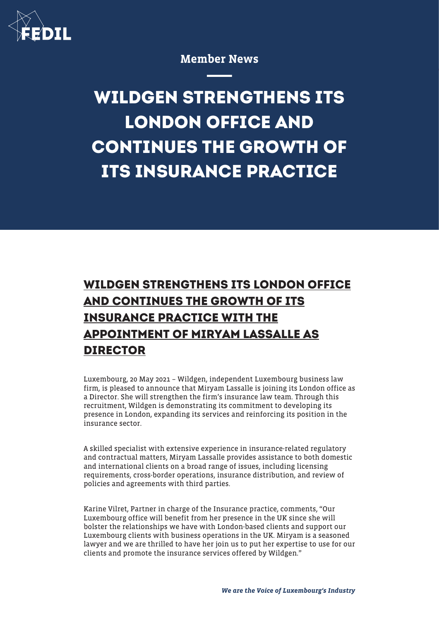

Member News

## **WILDGEN STRENGTHENS ITS LONDON OFFICE AND CONTINUES THE GROWTH OF ITS INSURANCE PRACTICE**

## **WILDGEN STRENGTHENS ITS LONDON OFFICE AND CONTINUES THE GROWTH OF ITS INSURANCE PRACTICE WITH THE APPOINTMENT OF MIRYAM LASSALLE AS DIRECTOR**

Luxembourg, 20 May 2021 – Wildgen, independent Luxembourg business law firm, is pleased to announce that Miryam Lassalle is joining its London office as a Director. She will strengthen the firm's insurance law team. Through this recruitment, Wildgen is demonstrating its commitment to developing its presence in London, expanding its services and reinforcing its position in the insurance sector.

A skilled specialist with extensive experience in insurance-related regulatory and contractual matters, Miryam Lassalle provides assistance to both domestic and international clients on a broad range of issues, including licensing requirements, cross-border operations, insurance distribution, and review of policies and agreements with third parties.

Karine Vilret, Partner in charge of the Insurance practice, comments, "Our Luxembourg office will benefit from her presence in the UK since she will bolster the relationships we have with London-based clients and support our Luxembourg clients with business operations in the UK. Miryam is a seasoned lawyer and we are thrilled to have her join us to put her expertise to use for our clients and promote the insurance services offered by Wildgen."